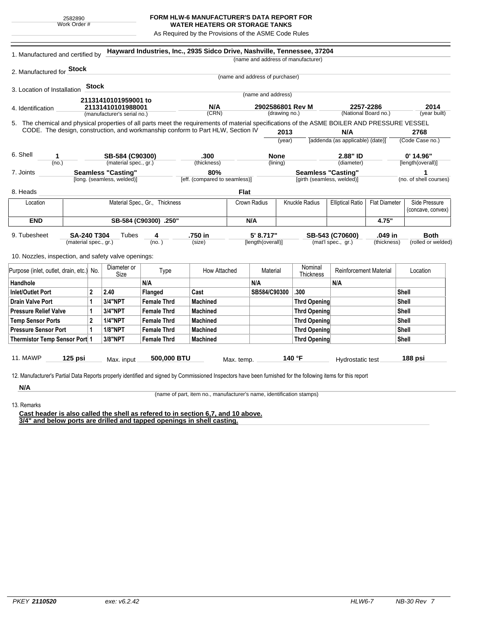## **FORM HLW-6 MANUFACTURER'S DATA REPORT FOR WATER HEATERS OR STORAGE TANKS**

As Required by the Provisions of the ASME Code Rules

|                                                                                                                                                               | 1. Manufactured and certified by |                   |                             |                    | Hayward Industries, Inc., 2935 Sidco Drive, Nashville, Tennessee, 37204 |              |                                   |                                           |                                                                 |                                  |                    |                        |
|---------------------------------------------------------------------------------------------------------------------------------------------------------------|----------------------------------|-------------------|-----------------------------|--------------------|-------------------------------------------------------------------------|--------------|-----------------------------------|-------------------------------------------|-----------------------------------------------------------------|----------------------------------|--------------------|------------------------|
|                                                                                                                                                               |                                  |                   |                             |                    |                                                                         |              |                                   |                                           | (name and address of manufacturer)                              |                                  |                    |                        |
| 2. Manufactured for <b>Stock</b>                                                                                                                              |                                  |                   |                             |                    |                                                                         |              |                                   |                                           |                                                                 |                                  |                    |                        |
|                                                                                                                                                               |                                  |                   |                             |                    |                                                                         |              | (name and address of purchaser)   |                                           |                                                                 |                                  |                    |                        |
| 3. Location of Installation                                                                                                                                   |                                  | <b>Stock</b>      |                             |                    |                                                                         |              |                                   |                                           |                                                                 |                                  |                    |                        |
|                                                                                                                                                               |                                  |                   | 21131410101959001 to        |                    |                                                                         |              | (name and address)                |                                           |                                                                 |                                  |                    |                        |
| 4. Identification                                                                                                                                             |                                  | 21131410101988001 |                             |                    | N/A                                                                     |              | 2902586801 Rev M<br>(drawing no.) |                                           | 2257-2286<br>(National Board no.)                               |                                  | 2014               |                        |
|                                                                                                                                                               |                                  |                   | (manufacturer's serial no.) |                    | (CRN)                                                                   |              |                                   |                                           |                                                                 |                                  |                    | (year built)           |
| 5. The chemical and physical properties of all parts meet the requirements of material specifications of the ASME BOILER AND PRESSURE VESSEL                  |                                  |                   |                             |                    |                                                                         |              |                                   |                                           |                                                                 |                                  |                    |                        |
| CODE. The design, construction, and workmanship conform to Part HLW, Section IV                                                                               |                                  |                   |                             |                    |                                                                         |              |                                   | 2013                                      |                                                                 | N/A                              |                    | 2768                   |
|                                                                                                                                                               |                                  |                   |                             |                    |                                                                         |              |                                   | (year)                                    |                                                                 | [addenda (as applicable) (date)] |                    | (Code Case no.)        |
| 6. Shell<br>1                                                                                                                                                 |                                  |                   | SB-584 (C90300)             |                    | .300                                                                    |              | <b>None</b>                       |                                           |                                                                 | 2.88" ID                         |                    | $0'$ 14.96"            |
| (no.)                                                                                                                                                         | (material spec., gr.)            |                   |                             |                    | (thickness)                                                             |              | (lining)                          |                                           |                                                                 | (diameter)                       |                    | [length(overall)]      |
| 7. Joints                                                                                                                                                     | <b>Seamless "Casting"</b>        |                   |                             |                    | 80%                                                                     |              |                                   |                                           |                                                                 | <b>Seamless "Casting"</b>        |                    | 1                      |
|                                                                                                                                                               |                                  |                   | [long. (seamless, welded)]  |                    | [eff. (compared to seamless)]                                           |              |                                   |                                           |                                                                 | [girth (seamless, welded)]       |                    | (no. of shell courses) |
| 8. Heads                                                                                                                                                      |                                  |                   |                             |                    |                                                                         | <b>Flat</b>  |                                   |                                           |                                                                 |                                  |                    |                        |
| Material Spec., Gr., Thickness<br>Location                                                                                                                    |                                  |                   |                             |                    |                                                                         | Crown Radius |                                   | Knuckle Radius<br><b>Elliptical Ratio</b> |                                                                 | <b>Flat Diameter</b>             | Side Pressure      |                        |
|                                                                                                                                                               |                                  |                   |                             |                    |                                                                         |              |                                   |                                           |                                                                 |                                  | (concave, convex)  |                        |
| <b>END</b>                                                                                                                                                    | SB-584 (C90300) .250"            |                   |                             |                    | N/A                                                                     |              |                                   |                                           |                                                                 |                                  | 4.75"              |                        |
| 9. Tubesheet<br><b>SA-240 T304</b><br>4<br>Tubes<br>(no.)<br>(material spec., gr.)                                                                            |                                  |                   |                             | .750 in            |                                                                         |              | 5' 8.717"<br>[length(overall)]    |                                           | .049 in<br>SB-543 (C70600)<br>(mat'l spec., gr.)<br>(thickness) |                                  | <b>Both</b>        |                        |
|                                                                                                                                                               |                                  |                   |                             |                    |                                                                         | (size)       |                                   |                                           |                                                                 |                                  | (rolled or welded) |                        |
|                                                                                                                                                               |                                  |                   |                             |                    |                                                                         |              |                                   |                                           |                                                                 |                                  |                    |                        |
| 10. Nozzles, inspection, and safety valve openings:                                                                                                           |                                  |                   |                             |                    |                                                                         |              |                                   |                                           |                                                                 |                                  |                    |                        |
| Purpose (inlet, outlet, drain, etc.) No.                                                                                                                      |                                  |                   | Diameter or                 | Type               | How Attached                                                            |              | Material                          |                                           | Nominal                                                         | <b>Reinforcement Material</b>    |                    | Location               |
| Handhole                                                                                                                                                      |                                  |                   | Size                        | N/A                |                                                                         |              | N/A                               |                                           | <b>Thickness</b>                                                | N/A                              |                    |                        |
| Inlet/Outlet Port                                                                                                                                             |                                  | $\mathbf{2}$      | 2.40                        | Flanged            | Cast                                                                    |              | SB584/C90300                      |                                           | .300                                                            |                                  |                    | Shell                  |
| <b>Drain Valve Port</b>                                                                                                                                       |                                  | 1                 | 3/4"NPT                     | <b>Female Thrd</b> | <b>Machined</b>                                                         |              |                                   |                                           | <b>Thrd Opening</b>                                             |                                  |                    | Shell                  |
| <b>Pressure Relief Valve</b>                                                                                                                                  |                                  | 1                 | 3/4"NPT                     | <b>Female Thrd</b> | Machined                                                                |              |                                   |                                           | <b>Thrd Opening</b>                                             |                                  |                    | Shell                  |
| <b>Temp Sensor Ports</b>                                                                                                                                      |                                  | $\mathbf{2}$      | <b>1/4"NPT</b>              | <b>Female Thrd</b> | <b>Machined</b>                                                         |              |                                   |                                           | <b>Thrd Opening</b>                                             |                                  |                    | Shell                  |
| <b>Pressure Sensor Port</b>                                                                                                                                   |                                  | 1                 | <b>1/8"NPT</b>              | <b>Female Thrd</b> | <b>Machined</b>                                                         |              |                                   |                                           | <b>Thrd Opening</b>                                             |                                  |                    | Shell                  |
|                                                                                                                                                               |                                  |                   | 3/8"NPT                     | <b>Female Thrd</b> | <b>Machined</b>                                                         |              |                                   |                                           | <b>Thrd Opening</b>                                             |                                  |                    | Shell                  |
|                                                                                                                                                               |                                  |                   |                             |                    |                                                                         |              |                                   |                                           |                                                                 |                                  |                    |                        |
| Thermistor Temp Sensor Port 1                                                                                                                                 |                                  |                   |                             |                    |                                                                         |              |                                   |                                           |                                                                 |                                  |                    |                        |
| <b>11. MAWP</b>                                                                                                                                               | $125$ psi                        |                   |                             | 500,000 BTU        |                                                                         |              |                                   |                                           | 140 °F                                                          |                                  |                    | 188 psi                |
|                                                                                                                                                               |                                  |                   | Max. input                  |                    |                                                                         | Max. temp.   |                                   |                                           |                                                                 | Hydrostatic test                 |                    |                        |
| 12. Manufacturer's Partial Data Reports properly identified and signed by Commissioned Inspectors have been furnished for the following items for this report |                                  |                   |                             |                    |                                                                         |              |                                   |                                           |                                                                 |                                  |                    |                        |

13. Remarks

(name of part, item no., manufacturer's name, identification stamps)

**Cast header is also called the shell as refered to in section 6,7, and 10 above. 3/4" and below ports are drilled and tapped openings in shell casting.**